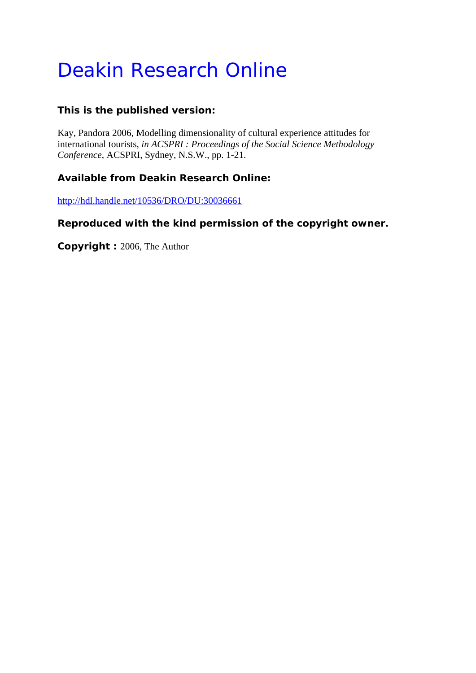# Deakin Research Online

# **This is the published version:**

Kay, Pandora 2006, Modelling dimensionality of cultural experience attitudes for international tourists*, in ACSPRI : Proceedings of the Social Science Methodology Conference*, ACSPRI, Sydney, N.S.W., pp. 1-21.

# **Available from Deakin Research Online:**

http://hdl.handle.net/10536/DRO/DU:30036661

# **Reproduced with the kind permission of the copyright owner.**

**Copyright :** 2006, The Author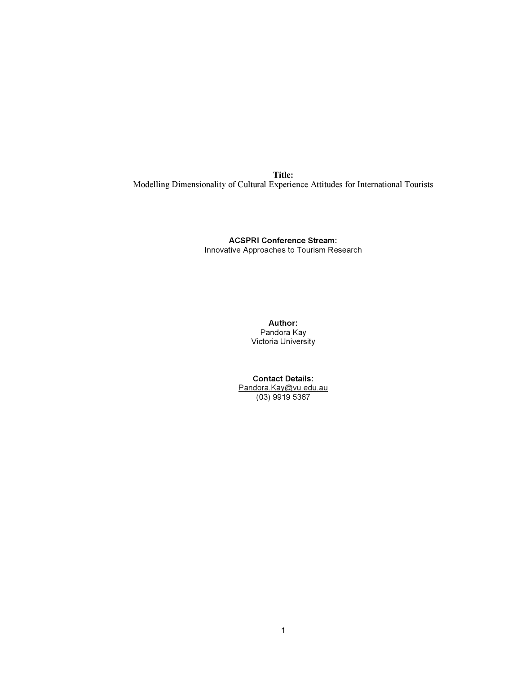Title: Modelling Dimensionality of Cultural Experience Attitudes for International Tourists

# ACSPRI Conference Stream:

Innovative Approaches to Tourism Research

Author: Pandora Kay Victoria University

Contact Details: Pandora.Kay@vu.edu.au (03) 9919 5367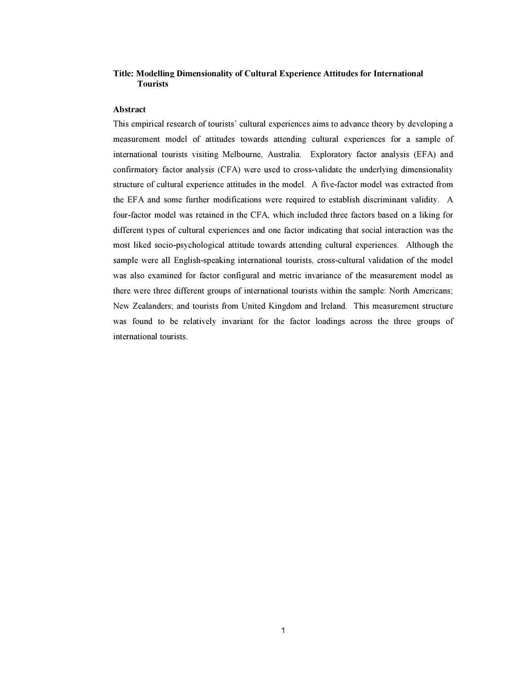## Title: Modelling Dimensionality of Cultural Experience Attitudes for International **Tourists**

# Abstract

This empirical research of tourists' cultural experiences aims to advance theory by developing a measurement model of attitudes towards attending cultural experiences for a sample of international tourists visiting Melbourne, Australia. Exploratory factor analysis (EFA) and confirmatory factor analysis (CFA) were used to cross-validate the underlying dimensionality structure of cultural experience attitudes in the model. A five-factor model was extracted from the EFA and some further modifications were required to establish discriminant validity. A four-factor model was retained in the CFA, which included three factors based on a liking for different types of cultural experiences and one factor indicating that social interaction was the most liked socio-psychological attitude towards attending cultural experiences. Although the sample were all English-speaking international tourists, cross-cultural validation of the model was also examined for factor configural and metric invariance of the measurement model as there were three different groups of international tourists within the sample: North Americans; New Zealanders; and tourists from United Kingdom and Ireland. This measurement structure was found to be relatively invariant for the factor loadings across the three groups of international tourists.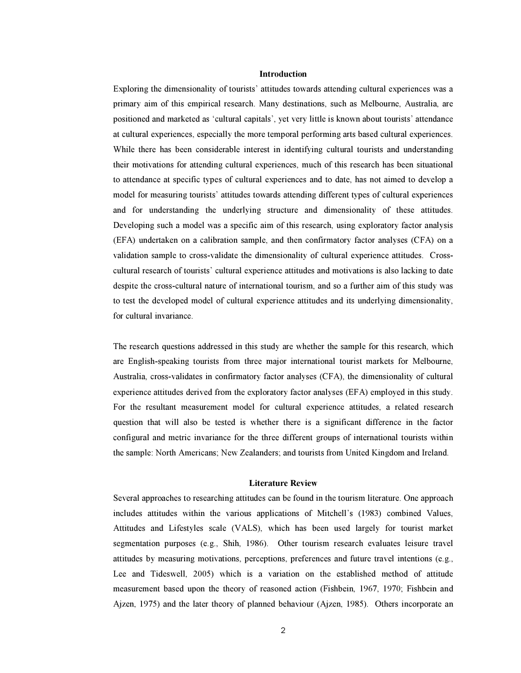#### Introduction

Exploring the dimensionality of tourists' attitudes towards attending cultural experiences was a primary aim of this empirical research. Many destinations, such as Melbourne, Australia, are positioned and marketed as 'cultural capitals', yet very little is known about tourists' attendance at cultural experiences, especially the more temporal performing arts based cultural experiences. While there has been considerable interest in identifying cultural tourists and understanding their motivations for attending cultural experiences, much of this research has been situational to attendance at specific types of cultural experiences and to date, has not aimed to develop a model for measuring tourists' attitudes towards attending different types of cultural experiences and for understanding the underlying structure and dimensionality of these attitudes. Developing such a model was a specific aim of this research, using exploratory factor analysis (EFA) undertaken on a calibration sample, and then confirmatory factor analyses (CFA) on a validation sample to cross-validate the dimensionality of cultural experience attitudes. Crosscultural research of tourists' cultural experience attitudes and motivations is also lacking to date despite the cross-cultural nature of international tourism, and so a further aim of this study was to test the developed model of cultural experience attitudes and its underlying dimensionality, for cultural invariance.

The research questions addressed in this study are whether the sample for this research, which are English-speaking tourists from three major international tourist markets for Melbourne, Australia, cross-validates in confirmatory factor analyses (CFA), the dimensionality of cultural experience attitudes derived from the exploratory factor analyses (EFA) employed in this study. For the resultant measurement model for cultural experience attitudes, a related research question that will also be tested is whether there is a significant difference in the factor configural and metric invariance for the three different groups of international tourists within the sample: North Americans; New Zealanders; and tourists from United Kingdom and Ireland.

## Literature Review

Several approaches to researching attitudes can be found in the tourism literature. One approach includes attitudes within the various applications of Mitchell's (1983) combined Values, Attitudes and Lifestyles scale (VALS), which has been used largely for tourist market segmentation purposes (e.g., Shih, 1986). Other tourism research evaluates leisure travel attitudes by measuring motivations, perceptions, preferences and future travel intentions (e.g., Lee and Tideswell, 2005) which is a variation on the established method of attitude measurement based upon the theory of reasoned action (Fishbein, 1967, 1970; Fishbein and Ajzen, 1975) and the later theory of planned behaviour (Ajzen, 1985). Others incorporate an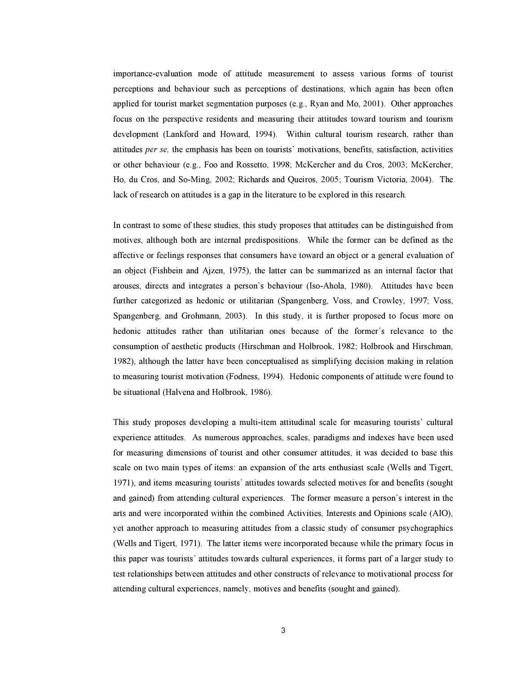importance-evaluation mode of attitude measurement to assess various forms of tourist perceptions and behaviour such as perceptions of destinations, which again has been often applied for tourist market segmentation purposes (e.g., Ryan and Mo, 2001). Other approaches focus on the perspective residents and measuring their attitudes toward tourism and tourism development (Lankford and Howard, 1994). Within cultural tourism research, rather than attitudes per se, the emphasis has been on tourists' motivations, benefits, satisfaction, activities or other behaviour (e.g., Foo and Rossetto, 1998; McKercher and du Cros, 2003; McKercher, Ho, du Cros, and So-Ming, 2002; Richards and Queiros, 2005; Tourism Victoria, 2004). The lack of research on attitudes is a gap in the literature to be explored in this research.

In contrast to some of these studies, this study proposes that attitudes can be distinguished from motives, although both are internal predispositions. While the former can be defined as the affective or feelings responses that consumers have toward an object or a general evaluation of an object (Fishbein and Ajzen, 1975), the latter can be summarized as an internal factor that arouses, directs and integrates a person's behaviour (Iso-Ahola, 1980). Attitudes have been further categorized as hedonic or utilitarian (Spangenberg, Voss, and Crowley, 1997; Voss, Spangenberg, and Grohmann, 2003). In this study, it is further proposed to focus more on hedonic attitudes rather than utilitarian ones because of the former's relevance to the consumption of aesthetic products (Hirschman and Holbrook, 1982; Holbrook and Hirschman, 1982), although the latter have been conceptualised as simplifying decision making in relation to measuring tourist motivation (Fodness, 1994). Hedonic components of attitude were found to be situational (Halvena and Holbrook, 1986).

This study proposes developing a multi-item attitudinal scale for measuring tourists' cultural experience attitudes. As numerous approaches, scales, paradigms and indexes have been used for measuring dimensions of tourist and other consumer attitudes, it was decided to base this scale on two main types of items: an expansion of the arts enthusiast scale (Wells and Tigert, 1971), and items measuring tourists' attitudes towards selected motives for and benefits (sought and gained) from attending cultural experiences. The former measure a person's interest in the arts and were incorporated within the combined Activities, Interests and Opinions scale (AIO), yet another approach to measuring attitudes from a classic study of consumer psychographics (Wells and Tigert, 1971). The latter items were incorporated because while the primary focus in this paper was tourists' attitudes towards cultural experiences, it forms part of a larger study to test relationships between attitudes and other constructs of relevance to motivational process for attending cultural experiences, namely, motives and benefits (sought and gained).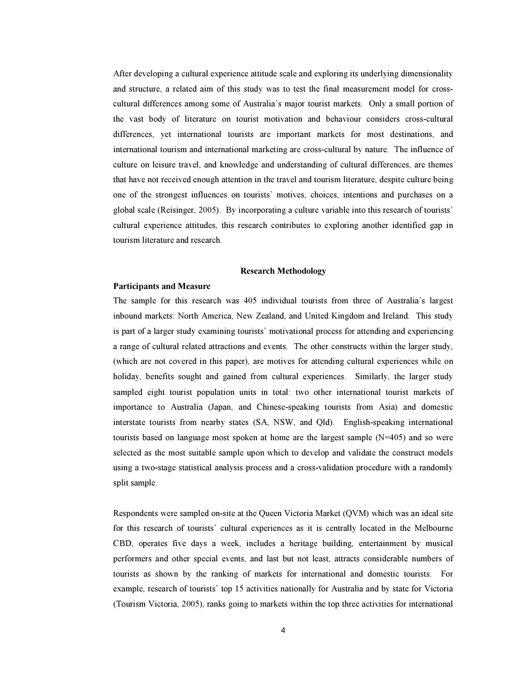After developing a cultural experience attitude scale and exploring its underlying dimensionality and structure, a related aim of this study was to test the final measurement model for crosscultural differences among some of Australia's major tourist markets. Only a small portion of the vast body of literature on tourist motivation and behaviour considers cross-cultural differences, yet international tourists are important markets for most destinations, and international tourism and international marketing are cross-cultural by nature. The influence of culture on leisure travel, and knowledge and understanding of cultural differences, are themes that have not received enough attention in the travel and tourism literature, despite culture being one of the strongest influences on tourists' motives, choices, intentions and purchases on a global scale (Reisinger, 2005). By incorporating a culture variable into this research of tourists' cultural experience attitudes, this research contributes to exploring another identified gap in tourism literature and research.

#### Research Methodology

#### Participants and Measure

The sample for this research was 405 individual tourists from three of Australia's largest inbound markets: North America, New Zealand, and United Kingdom and Ireland. This study is part of a larger study examining tourists' motivational process for attending and experiencing a range of cultural related attractions and events. The other constructs within the larger study, (which are not covered in this paper), are motives for attending cultural experiences while on holiday, benefits sought and gained from cultural experiences. Similarly, the larger study sampled eight tourist population units in total: two other international tourist markets of importance to Australia (Japan, and Chinese-speaking tourists from Asia) and domestic interstate tourists from nearby states (SA, NSW, and Qld). English-speaking international tourists based on language most spoken at home are the largest sample  $(N=405)$  and so were selected as the most suitable sample upon which to develop and validate the construct models using a two-stage statistical analysis process and a cross-validation procedure with a randomly split sample.

Respondents were sampled on-site at the Queen Victoria Market (QVM) which was an ideal site for this research of tourists' cultural experiences as it is centrally located in the Melbourne CBD, operates five days a week, includes a heritage building, entertainment by musical performers and other special events, and last but not least, attracts considerable numbers of tourists as shown by the ranking of markets for international and domestic tourists. For example, research of tourists' top 15 activities nationally for Australia and by state for Victoria (Tourism Victoria, 2005), ranks going to markets within the top three activities for international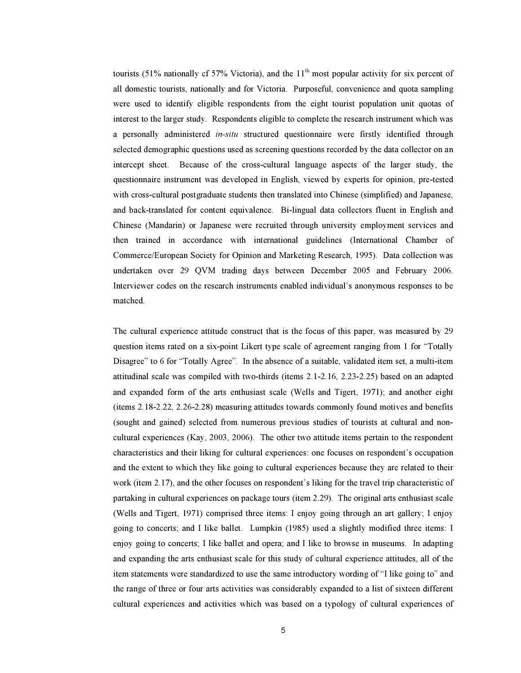tourists (51% nationally cf 57% Victoria), and the  $11<sup>th</sup>$  most popular activity for six percent of all domestic tourists, nationally and for Victoria. Purposeful, convenience and quota sampling were used to identify eligible respondents from the eight tourist population unit quotas of interest to the larger study. Respondents eligible to complete the research instrument which was a personally administered *in-situ* structured questionnaire were firstly identified through selected demographic questions used as screening questions recorded by the data collector on an intercept sheet. Because of the cross-cultural language aspects of the larger study, the questionnaire instrument was developed in English, viewed by experts for opinion, pre-tested with cross-cultural postgraduate students then translated into Chinese (simplified) and Japanese, and back-translated for content equivalence. Bi-lingual data collectors fluent in English and Chinese (Mandarin) or Japanese were recruited through university employment services and then trained in accordance with international guidelines (International Chamber of Commerce/European Society for Opinion and Marketing Research, 1995). Data collection was undertaken over 29 QVM trading days between December 2005 and February 2006. Interviewer codes on the research instruments enabled individual's anonymous responses to be matched.

The cultural experience attitude construct that is the focus of this paper, was measured by 29 question items rated on a six-point Likert type scale of agreement ranging from 1 for "Totally Disagree" to 6 for "Totally Agree". In the absence of a suitable, validated item set, a multi-item attitudinal scale was compiled with two-thirds (items 2.1-2.16, 2.23-2.25) based on an adapted and expanded form of the arts enthusiast scale (Wells and Tigert, 1971); and another eight (items 2.18-2.22, 2.26-2.28) measuring attitudes towards commonly found motives and benefits (sought and gained) selected from numerous previous studies of tourists at cultural and noncultural experiences (Kay, 2003, 2006). The other two attitude items pertain to the respondent characteristics and their liking for cultural experiences: one focuses on respondent's occupation and the extent to which they like going to cultural experiences because they are related to their work (item 2.17), and the other focuses on respondent's liking for the travel trip characteristic of partaking in cultural experiences on package tours (item 2.29). The original arts enthusiast scale (Wells and Tigert, 1971) comprised three items: I enjoy going through an art gallery; I enjoy going to concerts; and I like ballet. Lumpkin (1985) used a slightly modified three items: I enjoy going to concerts; I like ballet and opera; and I like to browse in museums. In adapting and expanding the arts enthusiast scale for this study of cultural experience attitudes, all of the item statements were standardized to use the same introductory wording of "I like going to" and the range of three or four arts activities was considerably expanded to a list of sixteen different cultural experiences and activities which was based on a typology of cultural experiences of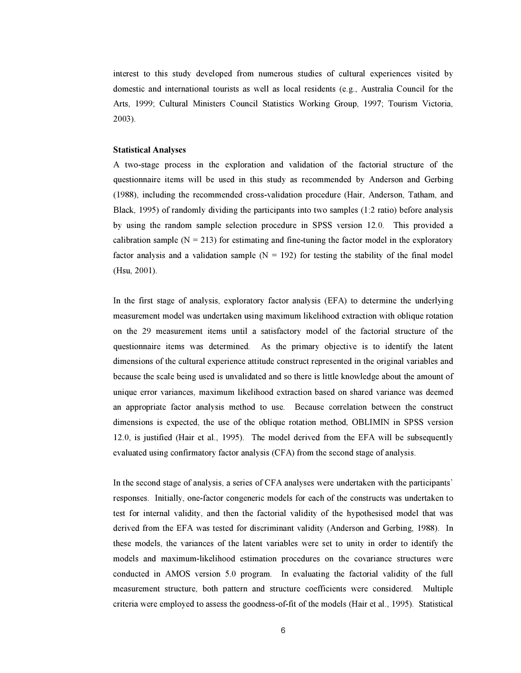interest to this study developed from numerous studies of cultural experiences visited by domestic and international tourists as well as local residents (e.g., Australia Council for the Arts, 1999; Cultural Ministers Council Statistics Working Group, 1997; Tourism Victoria, 2003).

#### Statistical Analyses

A two-stage process in the exploration and validation of the factorial structure of the questionnaire items will be used in this study as recommended by Anderson and Gerbing (1988), including the recommended cross-validation procedure (Hair, Anderson, Tatham, and Black, 1995) of randomly dividing the participants into two samples (1:2 ratio) before analysis by using the random sample selection procedure in SPSS version 12.0. This provided a calibration sample  $(N = 213)$  for estimating and fine-tuning the factor model in the exploratory factor analysis and a validation sample  $(N = 192)$  for testing the stability of the final model (Hsu, 2001).

In the first stage of analysis, exploratory factor analysis (EFA) to determine the underlying measurement model was undertaken using maximum likelihood extraction with oblique rotation on the 29 measurement items until a satisfactory model of the factorial structure of the questionnaire items was determined. As the primary objective is to identify the latent dimensions of the cultural experience attitude construct represented in the original variables and because the scale being used is unvalidated and so there is little knowledge about the amount of unique error variances, maximum likelihood extraction based on shared variance was deemed an appropriate factor analysis method to use. Because correlation between the construct dimensions is expected, the use of the oblique rotation method, OBLIMIN in SPSS version 12.0, is justified (Hair et al., 1995). The model derived from the EFA will be subsequently evaluated using confirmatory factor analysis (CFA) from the second stage of analysis.

In the second stage of analysis, a series of CFA analyses were undertaken with the participants' responses. Initially, one-factor congeneric models for each of the constructs was undertaken to test for internal validity, and then the factorial validity of the hypothesised model that was derived from the EFA was tested for discriminant validity (Anderson and Gerbing, 1988). In these models, the variances of the latent variables were set to unity in order to identify the models and maximum-likelihood estimation procedures on the covariance structures were conducted in AMOS version 5.0 program. In evaluating the factorial validity of the full measurement structure, both pattern and structure coefficients were considered. Multiple criteria were employed to assess the goodness-of-fit of the models (Hair et al., 1995). Statistical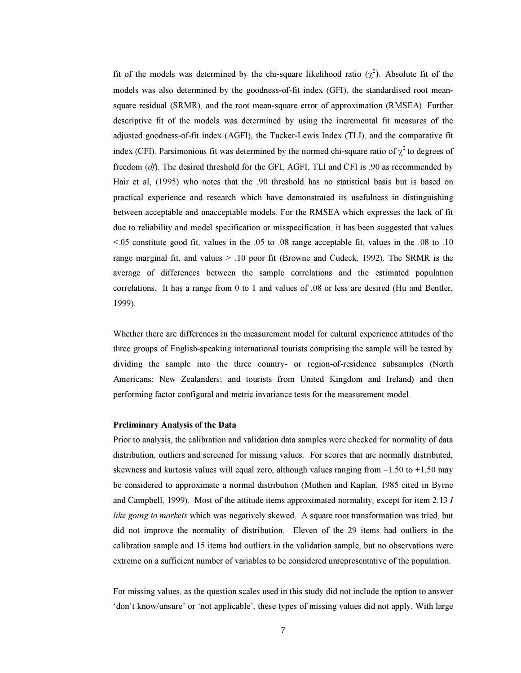fit of the models was determined by the chi-square likelihood ratio  $(\chi^2)$ . Absolute fit of the models was also determined by the goodness-of-fit index (GFI), the standardised root meansquare residual (SRMR), and the root mean-square error of approximation (RMSEA). Further descriptive fit of the models was determined by using the incremental fit measures of the adjusted goodness-of-fit index (AGFI), the Tucker-Lewis Index (TLI), and the comparative fit index (CFI). Parsimonious fit was determined by the normed chi-square ratio of  $\chi^2$  to degrees of freedom (df). The desired threshold for the GFI, AGFI, TLI and CFI is .90 as recommended by Hair et al, (1995) who notes that the .90 threshold has no statistical basis but is based on practical experience and research which have demonstrated its usefulness in distinguishing between acceptable and unacceptable models. For the RMSEA which expresses the lack of fit due to reliability and model specification or misspecification, it has been suggested that values  $\leq$ .05 constitute good fit, values in the .05 to .08 range acceptable fit, values in the .08 to .10 range marginal fit, and values > .10 poor fit (Browne and Cudeck, 1992). The SRMR is the average of differences between the sample correlations and the estimated population correlations. It has a range from 0 to 1 and values of .08 or less are desired (Hu and Bentler, 1999).

Whether there are differences in the measurement model for cultural experience attitudes of the three groups of English-speaking international tourists comprising the sample will be tested by dividing the sample into the three country- or region-of-residence subsamples (North Americans; New Zealanders; and tourists from United Kingdom and Ireland) and then performing factor configural and metric invariance tests for the measurement model.

### Preliminary Analysis of the Data

Prior to analysis, the calibration and validation data samples were checked for normality of data distribution, outliers and screened for missing values. For scores that are normally distributed, skewness and kurtosis values will equal zero, although values ranging from  $-1.50$  to  $+1.50$  may be considered to approximate a normal distribution (Muthen and Kaplan, 1985 cited in Byrne and Campbell, 1999). Most of the attitude items approximated normality, except for item 2.13 I like going to markets which was negatively skewed. A square root transformation was tried, but did not improve the normality of distribution. Eleven of the 29 items had outliers in the calibration sample and 15 items had outliers in the validation sample, but no observations were extreme on a sufficient number of variables to be considered unrepresentative of the population.

For missing values, as the question scales used in this study did not include the option to answer 'don't know/unsure' or 'not applicable', these types of missing values did not apply. With large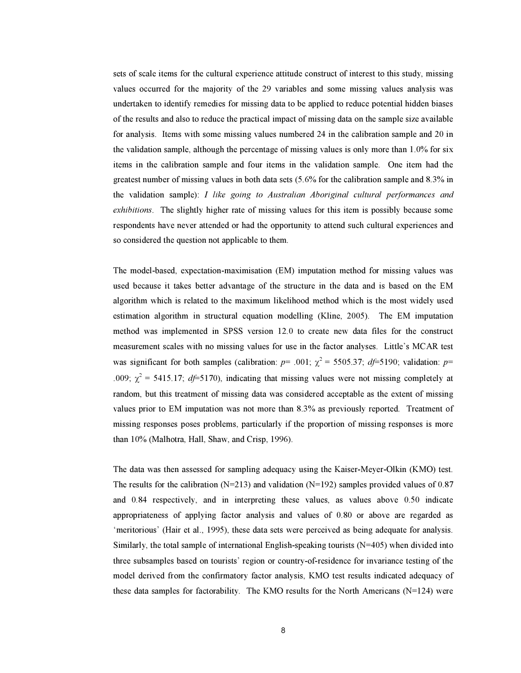sets of scale items for the cultural experience attitude construct of interest to this study, missing values occurred for the majority of the 29 variables and some missing values analysis was undertaken to identify remedies for missing data to be applied to reduce potential hidden biases of the results and also to reduce the practical impact of missing data on the sample size available for analysis. Items with some missing values numbered 24 in the calibration sample and 20 in the validation sample, although the percentage of missing values is only more than 1.0% for six items in the calibration sample and four items in the validation sample. One item had the greatest number of missing values in both data sets (5.6% for the calibration sample and 8.3% in the validation sample): I like going to Australian Aboriginal cultural performances and exhibitions. The slightly higher rate of missing values for this item is possibly because some respondents have never attended or had the opportunity to attend such cultural experiences and so considered the question not applicable to them.

The model-based, expectation-maximisation (EM) imputation method for missing values was used because it takes better advantage of the structure in the data and is based on the EM algorithm which is related to the maximum likelihood method which is the most widely used estimation algorithm in structural equation modelling (Kline, 2005). The EM imputation method was implemented in SPSS version 12.0 to create new data files for the construct measurement scales with no missing values for use in the factor analyses. Little's MCAR test was significant for both samples (calibration:  $p=$  .001;  $\chi^2 = 5505.37$ ; df=5190; validation:  $p=$ .009;  $\chi^2$  = 5415.17; df=5170), indicating that missing values were not missing completely at random, but this treatment of missing data was considered acceptable as the extent of missing values prior to EM imputation was not more than 8.3% as previously reported. Treatment of missing responses poses problems, particularly if the proportion of missing responses is more than 10% (Malhotra, Hall, Shaw, and Crisp, 1996).

The data was then assessed for sampling adequacy using the Kaiser-Meyer-Olkin (KMO) test. The results for the calibration ( $N=213$ ) and validation ( $N=192$ ) samples provided values of 0.87 and 0.84 respectively, and in interpreting these values, as values above 0.50 indicate appropriateness of applying factor analysis and values of 0.80 or above are regarded as 'meritorious' (Hair et al., 1995), these data sets were perceived as being adequate for analysis. Similarly, the total sample of international English-speaking tourists  $(N=405)$  when divided into three subsamples based on tourists' region or country-of-residence for invariance testing of the model derived from the confirmatory factor analysis, KMO test results indicated adequacy of these data samples for factorability. The KMO results for the North Americans (N=124) were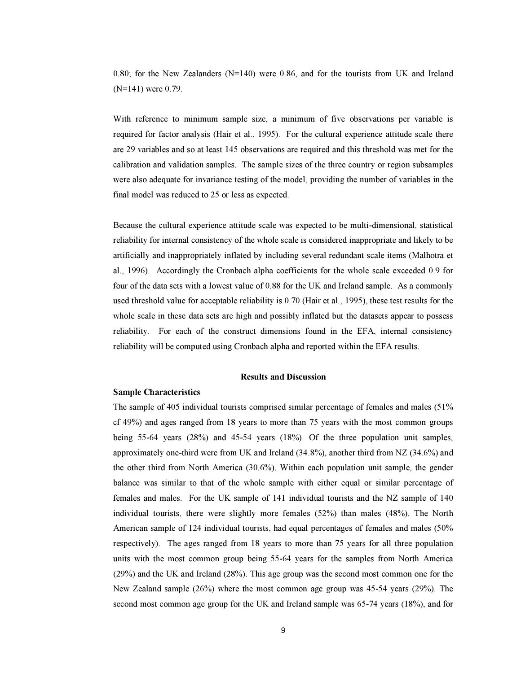0.80; for the New Zealanders  $(N=140)$  were 0.86, and for the tourists from UK and Ireland (N=141) were 0.79.

With reference to minimum sample size, a minimum of five observations per variable is required for factor analysis (Hair et al., 1995). For the cultural experience attitude scale there are 29 variables and so at least 145 observations are required and this threshold was met for the calibration and validation samples. The sample sizes of the three country or region subsamples were also adequate for invariance testing of the model, providing the number of variables in the final model was reduced to 25 or less as expected.

Because the cultural experience attitude scale was expected to be multi-dimensional, statistical reliability for internal consistency of the whole scale is considered inappropriate and likely to be artificially and inappropriately inflated by including several redundant scale items (Malhotra et al., 1996). Accordingly the Cronbach alpha coefficients for the whole scale exceeded 0.9 for four of the data sets with a lowest value of 0.88 for the UK and Ireland sample. As a commonly used threshold value for acceptable reliability is 0.70 (Hair et al., 1995), these test results for the whole scale in these data sets are high and possibly inflated but the datasets appear to possess reliability. For each of the construct dimensions found in the EFA, internal consistency reliability will be computed using Cronbach alpha and reported within the EFA results.

#### Results and Discussion

## Sample Characteristics

The sample of 405 individual tourists comprised similar percentage of females and males (51% cf 49%) and ages ranged from 18 years to more than 75 years with the most common groups being 55-64 years (28%) and 45-54 years (18%). Of the three population unit samples, approximately one-third were from UK and Ireland (34.8%), another third from NZ (34.6%) and the other third from North America (30.6%). Within each population unit sample, the gender balance was similar to that of the whole sample with either equal or similar percentage of females and males. For the UK sample of 141 individual tourists and the NZ sample of 140 individual tourists, there were slightly more females (52%) than males (48%). The North American sample of 124 individual tourists, had equal percentages of females and males (50% respectively). The ages ranged from 18 years to more than 75 years for all three population units with the most common group being 55-64 years for the samples from North America (29%) and the UK and Ireland (28%). This age group was the second most common one for the New Zealand sample (26%) where the most common age group was 45-54 years (29%). The second most common age group for the UK and Ireland sample was 65-74 years (18%), and for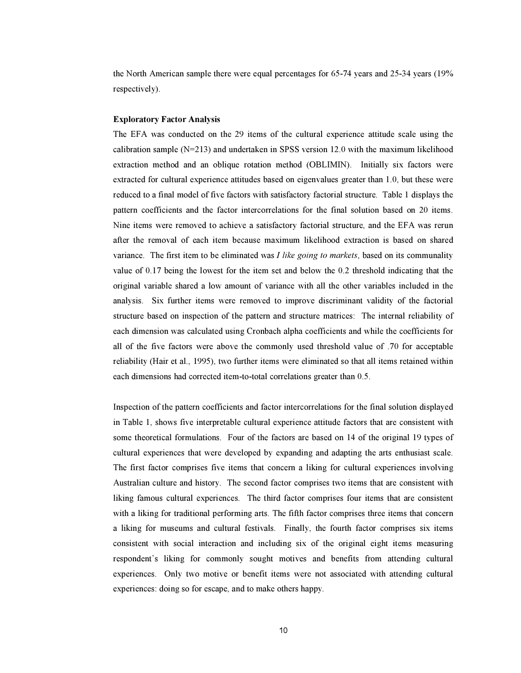the North American sample there were equal percentages for 65-74 years and 25-34 years (19% respectively).

#### Exploratory Factor Analysis

The EFA was conducted on the 29 items of the cultural experience attitude scale using the calibration sample  $(N=213)$  and undertaken in SPSS version 12.0 with the maximum likelihood extraction method and an oblique rotation method (OBLIMIN). Initially six factors were extracted for cultural experience attitudes based on eigenvalues greater than 1.0, but these were reduced to a final model of five factors with satisfactory factorial structure. Table 1 displays the pattern coefficients and the factor intercorrelations for the final solution based on 20 items. Nine items were removed to achieve a satisfactory factorial structure, and the EFA was rerun after the removal of each item because maximum likelihood extraction is based on shared variance. The first item to be eliminated was I like going to markets, based on its communality value of 0.17 being the lowest for the item set and below the 0.2 threshold indicating that the original variable shared a low amount of variance with all the other variables included in the analysis. Six further items were removed to improve discriminant validity of the factorial structure based on inspection of the pattern and structure matrices: The internal reliability of each dimension was calculated using Cronbach alpha coefficients and while the coefficients for all of the five factors were above the commonly used threshold value of .70 for acceptable reliability (Hair et al., 1995), two further items were eliminated so that all items retained within each dimensions had corrected item-to-total correlations greater than 0.5.

Inspection of the pattern coefficients and factor intercorrelations for the final solution displayed in Table 1, shows five interpretable cultural experience attitude factors that are consistent with some theoretical formulations. Four of the factors are based on 14 of the original 19 types of cultural experiences that were developed by expanding and adapting the arts enthusiast scale. The first factor comprises five items that concern a liking for cultural experiences involving Australian culture and history. The second factor comprises two items that are consistent with liking famous cultural experiences. The third factor comprises four items that are consistent with a liking for traditional performing arts. The fifth factor comprises three items that concern a liking for museums and cultural festivals. Finally, the fourth factor comprises six items consistent with social interaction and including six of the original eight items measuring respondent's liking for commonly sought motives and benefits from attending cultural experiences. Only two motive or benefit items were not associated with attending cultural experiences: doing so for escape, and to make others happy.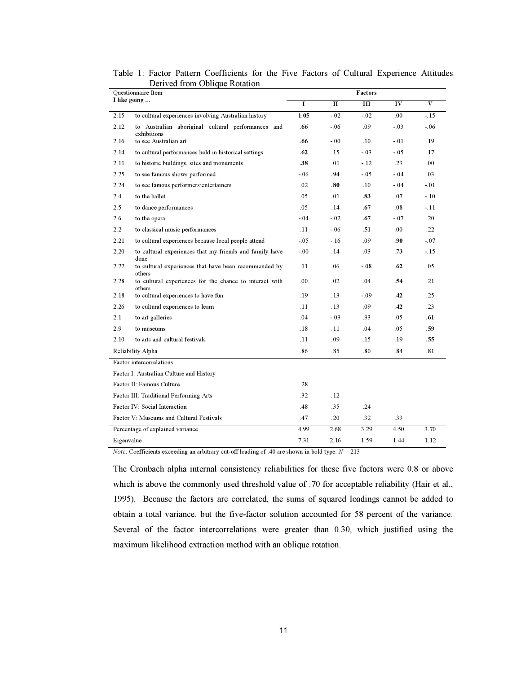| Questionnaire Item                                 |                                                                   | Factors |              |         |        |                         |  |  |
|----------------------------------------------------|-------------------------------------------------------------------|---------|--------------|---------|--------|-------------------------|--|--|
|                                                    | I like going                                                      | I       | $\mathbf{I}$ | III     | IV     | $\overline{\mathbf{V}}$ |  |  |
| 2.15                                               | to cultural experiences involving Australian history              | 1.05    | $-.02$       | $-.02$  | .00.   | $-.15$                  |  |  |
| 2.12                                               | to Australian aboriginal cultural performances and<br>exhibitions | .66     | $-.06$       | .09     | $-.03$ | $-.06$                  |  |  |
| 2.16                                               | to see Australian art                                             | .66     | $-.00$       | .10     | $-.01$ | .19                     |  |  |
| 2.14                                               | to cultural performances held in historical settings              | .62     | .15          | $-.03$  | $-.05$ | .17                     |  |  |
| 2.11                                               | to historic buildings, sites and monuments                        | .38     | .01          | $-12$   | .23    | .00.                    |  |  |
| 2.25                                               | to see famous shows performed                                     | $-.06$  | .94          | $-.05$  | $-.04$ | .03                     |  |  |
| 2.24                                               | to see famous performers/entertainers                             | .02     | .80          | .10     | $-.04$ | $-.01$                  |  |  |
| 2.4                                                | to the ballet                                                     | .05     | .01          | .83     | .07    | $-.10$                  |  |  |
| 2.5                                                | to dance performances                                             | .05     | .14          | .67     | .08    | $-.11$                  |  |  |
| 2.6                                                | to the opera                                                      | $-.04$  | $-.02$       | .67     | $-.07$ | .20                     |  |  |
| $2.2^{\circ}$                                      | to classical music performances                                   | .11     | $-0.06$      | .51     | .00.   | .22                     |  |  |
| 2.21                                               | to cultural experiences because local people attend               | $-.05$  | $-.16$       | .09     | .90    | $-.07$                  |  |  |
| 2.20                                               | to cultural experiences that my friends and family have<br>done   | $-0.00$ | .14          | .03     | .73    | $-.15$                  |  |  |
| 2.22                                               | to cultural experiences that have been recommended by<br>others   | .11     | .06          | $-0.08$ | .62    | .05                     |  |  |
| 2.28                                               | to cultural experiences for the chance to interact with<br>others | .00.    | .02          | .04     | .54    | .21                     |  |  |
| 2.18                                               | to cultural experiences to have fun                               | .19     | .13          | $-0.09$ | .42    | .25                     |  |  |
| 2.26                                               | to cultural experiences to learn                                  | .11     | .13          | .09     | .42    | .23                     |  |  |
| 2.1                                                | to art galleries                                                  | .04     | $-.03$       | .33     | .05    | .61                     |  |  |
| 2.9                                                | to museums                                                        | .18     | .11          | .04     | .05    | .59                     |  |  |
| 2.10                                               | to arts and cultural festivals                                    | .11     | .09          | .15     | .19    | .55                     |  |  |
|                                                    | Reliability Alpha                                                 | .86     | .85          | .80     | .84    | .81                     |  |  |
|                                                    | Factor intercorrelations                                          |         |              |         |        |                         |  |  |
|                                                    | Factor I: Australian Culture and History                          |         |              |         |        |                         |  |  |
|                                                    | Factor II: Famous Culture                                         | .28     |              |         |        |                         |  |  |
|                                                    | Factor III: Traditional Performing Arts                           | .32     | .12          |         |        |                         |  |  |
| Factor IV: Social Interaction<br>.48<br>.35<br>.24 |                                                                   |         |              |         |        |                         |  |  |
|                                                    | Factor V: Museums and Cultural Festivals                          | .47     | .20          | .32     | .33    |                         |  |  |
|                                                    | Percentage of explained variance                                  | 4.99    | 2.68         | 3.29    | 4.50   | 3.70                    |  |  |
| Eigenvalue                                         |                                                                   | 7.31    | 2.16         | 1.59    | 1.44   | 1.12                    |  |  |

Table 1: Factor Pattern Coefficients for the Five Factors of Cultural Experience Attitudes Derived from Oblique Rotation

Note: Coefficients exceeding an arbitrary cut-off loading of .40 are shown in bold type.  $N = 213$ 

The Cronbach alpha internal consistency reliabilities for these five factors were 0.8 or above which is above the commonly used threshold value of .70 for acceptable reliability (Hair et al., 1995). Because the factors are correlated, the sums of squared loadings cannot be added to obtain a total variance, but the five-factor solution accounted for 58 percent of the variance. Several of the factor intercorrelations were greater than 0.30, which justified using the maximum likelihood extraction method with an oblique rotation.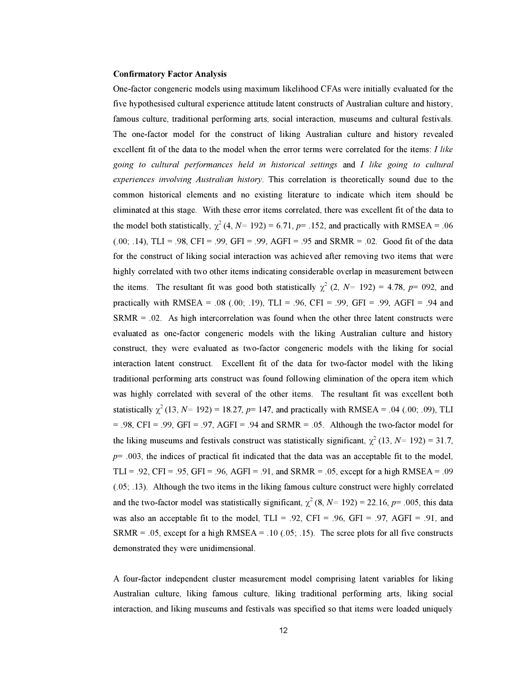#### Confirmatory Factor Analysis

One-factor congeneric models using maximum likelihood CFAs were initially evaluated for the five hypothesised cultural experience attitude latent constructs of Australian culture and history, famous culture, traditional performing arts, social interaction, museums and cultural festivals. The one-factor model for the construct of liking Australian culture and history revealed excellent fit of the data to the model when the error terms were correlated for the items: I like going to cultural performances held in historical settings and I like going to cultural experiences involving Australian history. This correlation is theoretically sound due to the common historical elements and no existing literature to indicate which item should be eliminated at this stage. With these error items correlated, there was excellent fit of the data to the model both statistically,  $\chi^2$  (4, N= 192) = 6.71, p= .152, and practically with RMSEA = .06  $(.00; .14)$ , TLI = .98, CFI = .99, GFI = .99, AGFI = .95 and SRMR = .02. Good fit of the data for the construct of liking social interaction was achieved after removing two items that were highly correlated with two other items indicating considerable overlap in measurement between the items. The resultant fit was good both statistically  $\chi^2$  (2, N= 192) = 4.78, p= 092, and practically with RMSEA = .08 (.00; .19), TLI = .96, CFI = .99, GFI = .99, AGFI = .94 and  $SRMR = .02$ . As high intercorrelation was found when the other three latent constructs were evaluated as one-factor congeneric models with the liking Australian culture and history construct, they were evaluated as two-factor congeneric models with the liking for social interaction latent construct. Excellent fit of the data for two-factor model with the liking traditional performing arts construct was found following elimination of the opera item which was highly correlated with several of the other items. The resultant fit was excellent both statistically  $\chi^2$  (13, N= 192) = 18.27, p= 147, and practically with RMSEA = .04 (.00; .09), TLI  $= .98$ , CFI = .99, GFI = .97, AGFI = .94 and SRMR = .05. Although the two-factor model for the liking museums and festivals construct was statistically significant,  $\chi^2$  (13, N= 192) = 31.7,  $p=$  .003, the indices of practical fit indicated that the data was an acceptable fit to the model, TLI = .92, CFI = .95, GFI = .96, AGFI = .91, and SRMR = .05, except for a high RMSEA = .09 (.05; .13). Although the two items in the liking famous culture construct were highly correlated and the two-factor model was statistically significant,  $\chi^2$  (8, N= 192) = 22.16, p= .005, this data was also an acceptable fit to the model,  $TLI = .92$ ,  $CFI = .96$ ,  $GFI = .97$ ,  $AGFI = .91$ , and SRMR =  $.05$ , except for a high RMSEA =  $.10$  ( $.05$ ;  $.15$ ). The scree plots for all five constructs demonstrated they were unidimensional.

A four-factor independent cluster measurement model comprising latent variables for liking Australian culture, liking famous culture, liking traditional performing arts, liking social interaction, and liking museums and festivals was specified so that items were loaded uniquely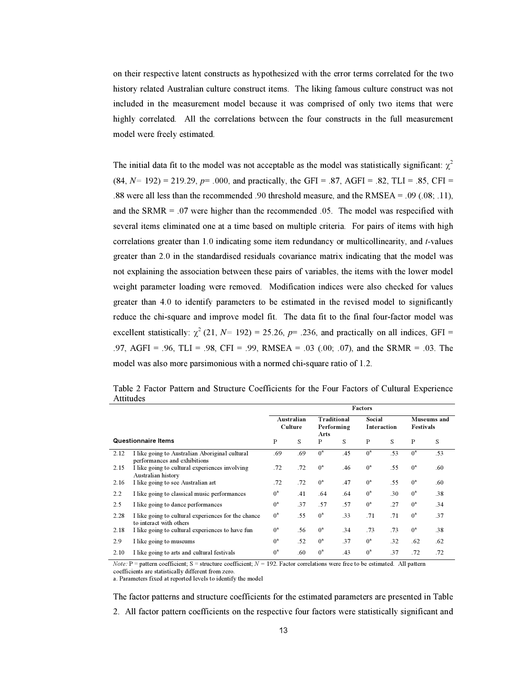on their respective latent constructs as hypothesized with the error terms correlated for the two history related Australian culture construct items. The liking famous culture construct was not included in the measurement model because it was comprised of only two items that were highly correlated. All the correlations between the four constructs in the full measurement model were freely estimated.

The initial data fit to the model was not acceptable as the model was statistically significant:  $\chi^2$  $(84, N= 192) = 219.29, p= .000,$  and practically, the GFI = .87, AGFI = .82, TLI = .85, CFI = .88 were all less than the recommended .90 threshold measure, and the RMSEA = .09 (.08; .11), and the SRMR = .07 were higher than the recommended .05. The model was respecified with several items eliminated one at a time based on multiple criteria. For pairs of items with high correlations greater than 1.0 indicating some item redundancy or multicollinearity, and t-values greater than 2.0 in the standardised residuals covariance matrix indicating that the model was not explaining the association between these pairs of variables, the items with the lower model weight parameter loading were removed. Modification indices were also checked for values greater than 4.0 to identify parameters to be estimated in the revised model to significantly reduce the chi-square and improve model fit. The data fit to the final four-factor model was excellent statistically:  $\chi^2$  (21, N= 192) = 25.26, p= .236, and practically on all indices, GFI = .97, AGFI = .96, TLI = .98, CFI = .99, RMSEA = .03 (.00; .07), and the SRMR = .03. The model was also more parsimonious with a normed chi-square ratio of 1.2.

|                            |                                                                                | <b>Factors</b> |                       |             |                                   |       |                       |             |                          |  |
|----------------------------|--------------------------------------------------------------------------------|----------------|-----------------------|-------------|-----------------------------------|-------|-----------------------|-------------|--------------------------|--|
|                            |                                                                                |                | Australian<br>Culture |             | Traditional<br>Performing<br>Arts |       | Social<br>Interaction |             | Museums and<br>Festivals |  |
| <b>Questionnaire Items</b> |                                                                                | P              | S                     | P           | S                                 | P     | S                     | P           | S                        |  |
| 2.12                       | I like going to Australian Aboriginal cultural<br>performances and exhibitions | .69            | .69                   | $0^a$       | .45                               | $0^a$ | .53                   | $0^a$       | .53                      |  |
| 2.15                       | I like going to cultural experiences involving<br>Australian history           | .72            | .72                   | $0^a$       | .46                               | $0^a$ | .55                   | $0^a$       | .60                      |  |
| 2.16                       | I like going to see Australian art                                             | .72            | .72                   | $0^a$       | .47                               | $0^a$ | .55                   | $0^{\rm a}$ | .60                      |  |
| 2.2                        | I like going to classical music performances                                   | $0^a$          | .41                   | .64         | .64                               | $0^a$ | .30                   | $0^a$       | .38                      |  |
| 2.5                        | I like going to dance performances                                             | $0^a$          | .37                   | .57         | .57                               | $0^a$ | .27                   | $0^a$       | .34                      |  |
| 2.28                       | I like going to cultural experiences for the chance<br>to interact with others | $0^a$          | .55                   | $0^{\rm a}$ | .33                               | .71   | .71                   | $0^a$       | .37                      |  |
| 2.18                       | I like going to cultural experiences to have fun                               | $0^a$          | .56                   | $0^a$       | .34                               | .73   | .73                   | $0^a$       | .38                      |  |
| 2.9                        | I like going to museums                                                        | $0^a$          | .52                   | $0^a$       | .37                               | $0^a$ | .32                   | .62         | .62                      |  |
| 2.10                       | I like going to arts and cultural festivals                                    | $0^{\rm a}$    | .60                   | $0^a$       | .43                               | $0^a$ | .37                   | .72         | .72                      |  |

Table 2 Factor Pattern and Structure Coefficients for the Four Factors of Cultural Experience Attitudes

Note: P = pattern coefficient; S = structure coefficient;  $N = 192$ . Factor correlations were free to be estimated. All pattern coefficients are statistically different from zero.

a. Parameters fixed at reported levels to identify the model

The factor patterns and structure coefficients for the estimated parameters are presented in Table 2. All factor pattern coefficients on the respective four factors were statistically significant and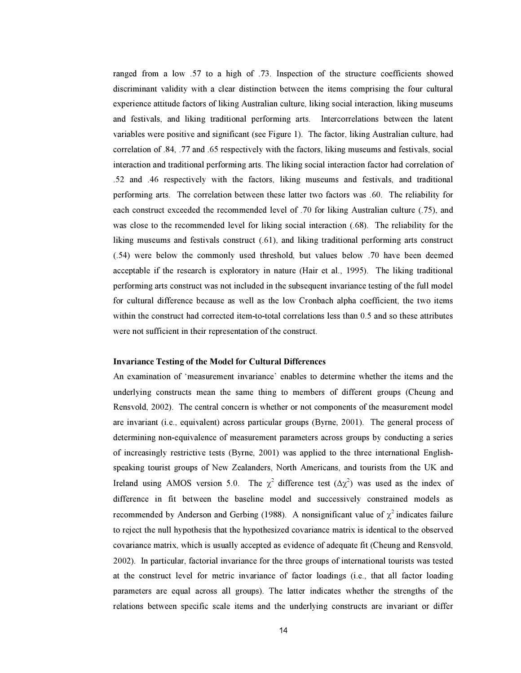ranged from a low .57 to a high of .73. Inspection of the structure coefficients showed discriminant validity with a clear distinction between the items comprising the four cultural experience attitude factors of liking Australian culture, liking social interaction, liking museums and festivals, and liking traditional performing arts. Intercorrelations between the latent variables were positive and significant (see Figure 1). The factor, liking Australian culture, had correlation of .84, .77 and .65 respectively with the factors, liking museums and festivals, social interaction and traditional performing arts. The liking social interaction factor had correlation of .52 and .46 respectively with the factors, liking museums and festivals, and traditional performing arts. The correlation between these latter two factors was .60. The reliability for each construct exceeded the recommended level of .70 for liking Australian culture (.75), and was close to the recommended level for liking social interaction (.68). The reliability for the liking museums and festivals construct (.61), and liking traditional performing arts construct (.54) were below the commonly used threshold, but values below .70 have been deemed acceptable if the research is exploratory in nature (Hair et al., 1995). The liking traditional performing arts construct was not included in the subsequent invariance testing of the full model for cultural difference because as well as the low Cronbach alpha coefficient, the two items within the construct had corrected item-to-total correlations less than 0.5 and so these attributes were not sufficient in their representation of the construct.

#### Invariance Testing of the Model for Cultural Differences

An examination of 'measurement invariance' enables to determine whether the items and the underlying constructs mean the same thing to members of different groups (Cheung and Rensvold, 2002). The central concern is whether or not components of the measurement model are invariant (i.e., equivalent) across particular groups (Byrne, 2001). The general process of determining non-equivalence of measurement parameters across groups by conducting a series of increasingly restrictive tests (Byrne, 2001) was applied to the three international Englishspeaking tourist groups of New Zealanders, North Americans, and tourists from the UK and Ireland using AMOS version 5.0. The  $\chi^2$  difference test  $(\Delta \chi^2)$  was used as the index of difference in fit between the baseline model and successively constrained models as recommended by Anderson and Gerbing (1988). A nonsignificant value of  $\chi^2$  indicates failure to reject the null hypothesis that the hypothesized covariance matrix is identical to the observed covariance matrix, which is usually accepted as evidence of adequate fit (Cheung and Rensvold, 2002). In particular, factorial invariance for the three groups of international tourists was tested at the construct level for metric invariance of factor loadings (i.e., that all factor loading parameters are equal across all groups). The latter indicates whether the strengths of the relations between specific scale items and the underlying constructs are invariant or differ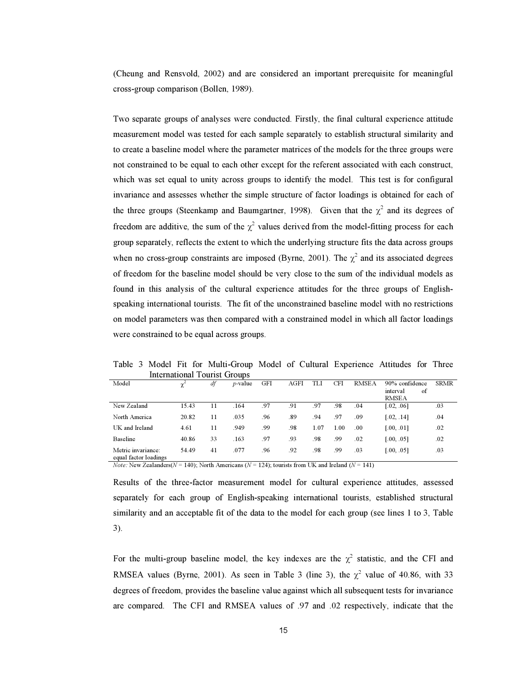(Cheung and Rensvold, 2002) and are considered an important prerequisite for meaningful cross-group comparison (Bollen, 1989).

Two separate groups of analyses were conducted. Firstly, the final cultural experience attitude measurement model was tested for each sample separately to establish structural similarity and to create a baseline model where the parameter matrices of the models for the three groups were not constrained to be equal to each other except for the referent associated with each construct, which was set equal to unity across groups to identify the model. This test is for configural invariance and assesses whether the simple structure of factor loadings is obtained for each of the three groups (Steenkamp and Baumgartner, 1998). Given that the  $\chi^2$  and its degrees of freedom are additive, the sum of the  $\chi^2$  values derived from the model-fitting process for each group separately, reflects the extent to which the underlying structure fits the data across groups when no cross-group constraints are imposed (Byrne, 2001). The  $\chi^2$  and its associated degrees of freedom for the baseline model should be very close to the sum of the individual models as found in this analysis of the cultural experience attitudes for the three groups of Englishspeaking international tourists. The fit of the unconstrained baseline model with no restrictions on model parameters was then compared with a constrained model in which all factor loadings were constrained to be equal across groups.

Table 3 Model Fit for Multi-Group Model of Cultural Experience Attitudes for Three International Tourist Groups

| Model                                       | $\chi$ <sup>-</sup> | df | $p$ -value | GFI | AGFI | TLI  | <b>CFI</b> | <b>RMSEA</b> | 90% confidence | <b>SRMR</b> |
|---------------------------------------------|---------------------|----|------------|-----|------|------|------------|--------------|----------------|-------------|
|                                             |                     |    |            |     |      |      |            |              | of<br>interval |             |
|                                             |                     |    |            |     |      |      |            |              | <b>RMSEA</b>   |             |
| New Zealand                                 | 15.43               | 11 | .164       | .97 | .91  | .97  | .98        | .04          | [.02, .06]     | .03         |
| North America                               | 20.82               | 11 | .035       | .96 | .89  | .94  | .97        | .09          | [.02, .14]     | .04         |
| UK and Ireland                              | 4.61                | 11 | .949       | .99 | .98  | 1.07 | 1.00       | .00          | [.00, .01]     | .02         |
| Baseline                                    | 40.86               | 33 | .163       | .97 | .93  | .98  | .99        | .02          | [.00, .05]     | .02         |
| Metric invariance:<br>equal factor loadings | 54.49               | 41 | .077       | .96 | .92  | .98  | .99        | .03          | [.00, .05]     | .03         |

*Note:* New Zealanders( $N = 140$ ); North Americans ( $N = 124$ ); tourists from UK and Ireland ( $N = 141$ )

Results of the three-factor measurement model for cultural experience attitudes, assessed separately for each group of English-speaking international tourists, established structural similarity and an acceptable fit of the data to the model for each group (see lines 1 to 3, Table 3).

For the multi-group baseline model, the key indexes are the  $\chi^2$  statistic, and the CFI and RMSEA values (Byrne, 2001). As seen in Table 3 (line 3), the  $\chi^2$  value of 40.86, with 33 degrees of freedom, provides the baseline value against which all subsequent tests for invariance are compared. The CFI and RMSEA values of .97 and .02 respectively, indicate that the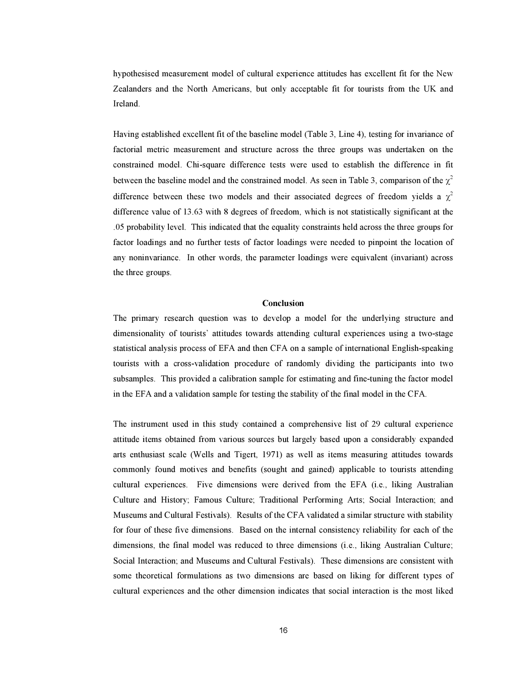hypothesised measurement model of cultural experience attitudes has excellent fit for the New Zealanders and the North Americans, but only acceptable fit for tourists from the UK and Ireland.

Having established excellent fit of the baseline model (Table 3, Line 4), testing for invariance of factorial metric measurement and structure across the three groups was undertaken on the constrained model. Chi-square difference tests were used to establish the difference in fit between the baseline model and the constrained model. As seen in Table 3, comparison of the  $\chi^2$ difference between these two models and their associated degrees of freedom yields a  $\chi^2$ difference value of 13.63 with 8 degrees of freedom, which is not statistically significant at the .05 probability level. This indicated that the equality constraints held across the three groups for factor loadings and no further tests of factor loadings were needed to pinpoint the location of any noninvariance. In other words, the parameter loadings were equivalent (invariant) across the three groups.

## Conclusion

The primary research question was to develop a model for the underlying structure and dimensionality of tourists' attitudes towards attending cultural experiences using a two-stage statistical analysis process of EFA and then CFA on a sample of international English-speaking tourists with a cross-validation procedure of randomly dividing the participants into two subsamples. This provided a calibration sample for estimating and fine-tuning the factor model in the EFA and a validation sample for testing the stability of the final model in the CFA.

The instrument used in this study contained a comprehensive list of 29 cultural experience attitude items obtained from various sources but largely based upon a considerably expanded arts enthusiast scale (Wells and Tigert, 1971) as well as items measuring attitudes towards commonly found motives and benefits (sought and gained) applicable to tourists attending cultural experiences. Five dimensions were derived from the EFA (i.e., liking Australian Culture and History; Famous Culture; Traditional Performing Arts; Social Interaction; and Museums and Cultural Festivals). Results of the CFA validated a similar structure with stability for four of these five dimensions. Based on the internal consistency reliability for each of the dimensions, the final model was reduced to three dimensions (i.e., liking Australian Culture; Social Interaction; and Museums and Cultural Festivals). These dimensions are consistent with some theoretical formulations as two dimensions are based on liking for different types of cultural experiences and the other dimension indicates that social interaction is the most liked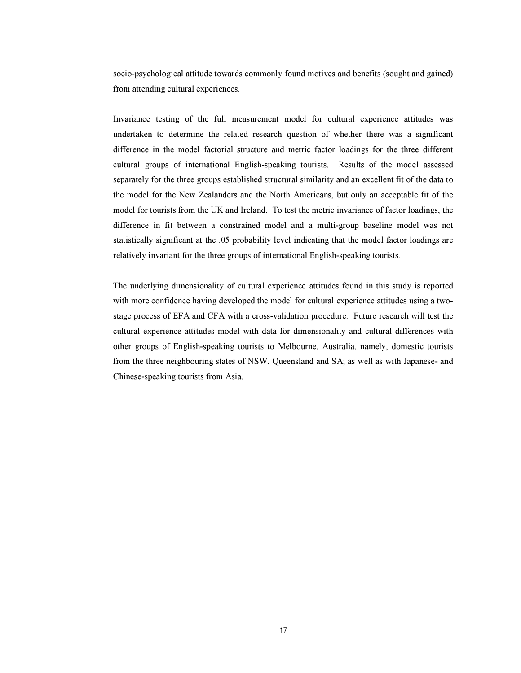socio-psychological attitude towards commonly found motives and benefits (sought and gained) from attending cultural experiences.

Invariance testing of the full measurement model for cultural experience attitudes was undertaken to determine the related research question of whether there was a significant difference in the model factorial structure and metric factor loadings for the three different cultural groups of international English-speaking tourists. Results of the model assessed separately for the three groups established structural similarity and an excellent fit of the data to the model for the New Zealanders and the North Americans, but only an acceptable fit of the model for tourists from the UK and Ireland. To test the metric invariance of factor loadings, the difference in fit between a constrained model and a multi-group baseline model was not statistically significant at the .05 probability level indicating that the model factor loadings are relatively invariant for the three groups of international English-speaking tourists.

The underlying dimensionality of cultural experience attitudes found in this study is reported with more confidence having developed the model for cultural experience attitudes using a twostage process of EFA and CFA with a cross-validation procedure. Future research will test the cultural experience attitudes model with data for dimensionality and cultural differences with other groups of English-speaking tourists to Melbourne, Australia, namely, domestic tourists from the three neighbouring states of NSW, Queensland and SA; as well as with Japanese- and Chinese-speaking tourists from Asia.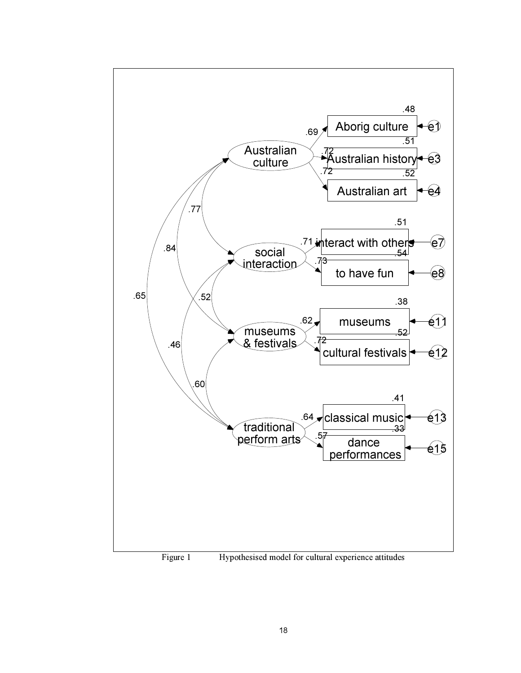

Figure 1 Hypothesised model for cultural experience attitudes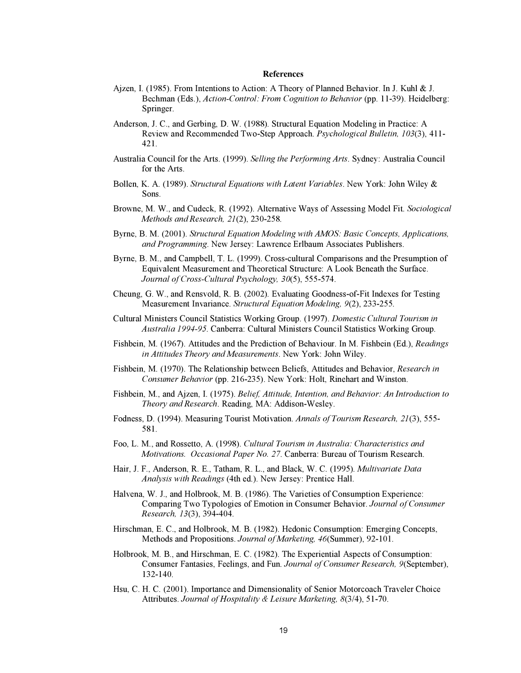#### References

- Ajzen, I. (1985). From Intentions to Action: A Theory of Planned Behavior. In J. Kuhl & J. Bechman (Eds.), Action-Control: From Cognition to Behavior (pp. 11-39). Heidelberg: Springer.
- Anderson, J. C., and Gerbing, D. W. (1988). Structural Equation Modeling in Practice: A Review and Recommended Two-Step Approach. Psychological Bulletin, 103(3), 411- 421.
- Australia Council for the Arts. (1999). Selling the Performing Arts. Sydney: Australia Council for the Arts.
- Bollen, K. A. (1989). Structural Equations with Latent Variables. New York: John Wiley & Sons.
- Browne, M. W., and Cudeck, R. (1992). Alternative Ways of Assessing Model Fit. Sociological Methods and Research, 21(2), 230-258.
- Byrne, B. M. (2001). Structural Equation Modeling with AMOS: Basic Concepts, Applications, and Programming. New Jersey: Lawrence Erlbaum Associates Publishers.
- Byrne, B. M., and Campbell, T. L. (1999). Cross-cultural Comparisons and the Presumption of Equivalent Measurement and Theoretical Structure: A Look Beneath the Surface. Journal of Cross-Cultural Psychology, 30(5), 555-574.
- Cheung, G. W., and Rensvold, R. B. (2002). Evaluating Goodness-of-Fit Indexes for Testing Measurement Invariance. Structural Equation Modeling, 9(2), 233-255.
- Cultural Ministers Council Statistics Working Group. (1997). Domestic Cultural Tourism in Australia 1994-95. Canberra: Cultural Ministers Council Statistics Working Group.
- Fishbein, M. (1967). Attitudes and the Prediction of Behaviour. In M. Fishbein (Ed.), Readings in Attitudes Theory and Measurements. New York: John Wiley.
- Fishbein, M. (1970). The Relationship between Beliefs, Attitudes and Behavior, Research in Consumer Behavior (pp. 216-235). New York: Holt, Rinehart and Winston.
- Fishbein, M., and Ajzen, I. (1975). Belief, Attitude, Intention, and Behavior: An Introduction to Theory and Research. Reading, MA: Addison-Wesley.
- Fodness, D. (1994). Measuring Tourist Motivation. Annals of Tourism Research, 21(3), 555- 581.
- Foo, L. M., and Rossetto, A. (1998). Cultural Tourism in Australia: Characteristics and Motivations. Occasional Paper No. 27. Canberra: Bureau of Tourism Research.
- Hair, J. F., Anderson, R. E., Tatham, R. L., and Black, W. C. (1995). *Multivariate Data* Analysis with Readings (4th ed.). New Jersey: Prentice Hall.
- Halvena, W. J., and Holbrook, M. B. (1986). The Varieties of Consumption Experience: Comparing Two Typologies of Emotion in Consumer Behavior. Journal of Consumer Research, 13(3), 394-404.
- Hirschman, E. C., and Holbrook, M. B. (1982). Hedonic Consumption: Emerging Concepts, Methods and Propositions. Journal of Marketing, 46(Summer), 92-101.
- Holbrook, M. B., and Hirschman, E. C. (1982). The Experiential Aspects of Consumption: Consumer Fantasies, Feelings, and Fun. Journal of Consumer Research, 9(September), 132-140.
- Hsu, C. H. C. (2001). Importance and Dimensionality of Senior Motorcoach Traveler Choice Attributes. Journal of Hospitality & Leisure Marketing, 8(3/4), 51-70.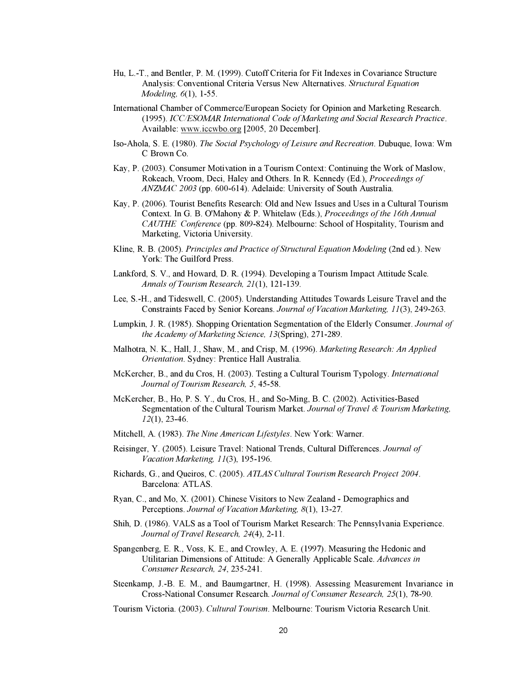- Hu, L.-T., and Bentler, P. M. (1999). Cutoff Criteria for Fit Indexes in Covariance Structure Analysis: Conventional Criteria Versus New Alternatives. Structural Equation Modeling, 6(1), 1-55.
- International Chamber of Commerce/European Society for Opinion and Marketing Research. (1995). ICC/ESOMAR International Code of Marketing and Social Research Practice. Available: www.iccwbo.org [2005, 20 December].
- Iso-Ahola, S. E. (1980). The Social Psychology of Leisure and Recreation. Dubuque, Iowa: Wm C Brown Co.
- Kay, P. (2003). Consumer Motivation in a Tourism Context: Continuing the Work of Maslow, Rokeach, Vroom, Deci, Haley and Others. In R. Kennedy (Ed.), Proceedings of ANZMAC 2003 (pp. 600-614). Adelaide: University of South Australia.
- Kay, P. (2006). Tourist Benefits Research: Old and New Issues and Uses in a Cultural Tourism Context. In G. B. O'Mahony & P. Whitelaw (Eds.), Proceedings of the 16th Annual CAUTHE Conference (pp. 809-824). Melbourne: School of Hospitality, Tourism and Marketing, Victoria University.
- Kline, R. B. (2005). Principles and Practice of Structural Equation Modeling (2nd ed.). New York: The Guilford Press.
- Lankford, S. V., and Howard, D. R. (1994). Developing a Tourism Impact Attitude Scale. Annals of Tourism Research, 21(1), 121-139.
- Lee, S.-H., and Tideswell, C. (2005). Understanding Attitudes Towards Leisure Travel and the Constraints Faced by Senior Koreans. Journal of Vacation Marketing, 11(3), 249-263.
- Lumpkin, J. R. (1985). Shopping Orientation Segmentation of the Elderly Consumer. Journal of the Academy of Marketing Science, 13(Spring), 271-289.
- Malhotra, N. K., Hall, J., Shaw, M., and Crisp, M. (1996). Marketing Research: An Applied Orientation. Sydney: Prentice Hall Australia.
- McKercher, B., and du Cros, H. (2003). Testing a Cultural Tourism Typology. International Journal of Tourism Research, 5, 45-58.
- McKercher, B., Ho, P. S. Y., du Cros, H., and So-Ming, B. C. (2002). Activities-Based Segmentation of the Cultural Tourism Market. Journal of Travel & Tourism Marketing, 12(1), 23-46.
- Mitchell, A. (1983). The Nine American Lifestyles. New York: Warner.
- Reisinger, Y. (2005). Leisure Travel: National Trends, Cultural Differences. Journal of Vacation Marketing, 11(3), 195-196.
- Richards, G., and Queiros, C. (2005). ATLAS Cultural Tourism Research Project 2004. Barcelona: ATLAS.
- Ryan, C., and Mo, X. (2001). Chinese Visitors to New Zealand Demographics and Perceptions. Journal of Vacation Marketing, 8(1), 13-27.
- Shih, D. (1986). VALS as a Tool of Tourism Market Research: The Pennsylvania Experience. Journal of Travel Research, 24(4), 2-11.
- Spangenberg, E. R., Voss, K. E., and Crowley, A. E. (1997). Measuring the Hedonic and Utilitarian Dimensions of Attitude: A Generally Applicable Scale. Advances in Consumer Research, 24, 235-241.
- Steenkamp, J.-B. E. M., and Baumgartner, H. (1998). Assessing Measurement Invariance in Cross-National Consumer Research. Journal of Consumer Research, 25(1), 78-90.
- Tourism Victoria. (2003). Cultural Tourism. Melbourne: Tourism Victoria Research Unit.